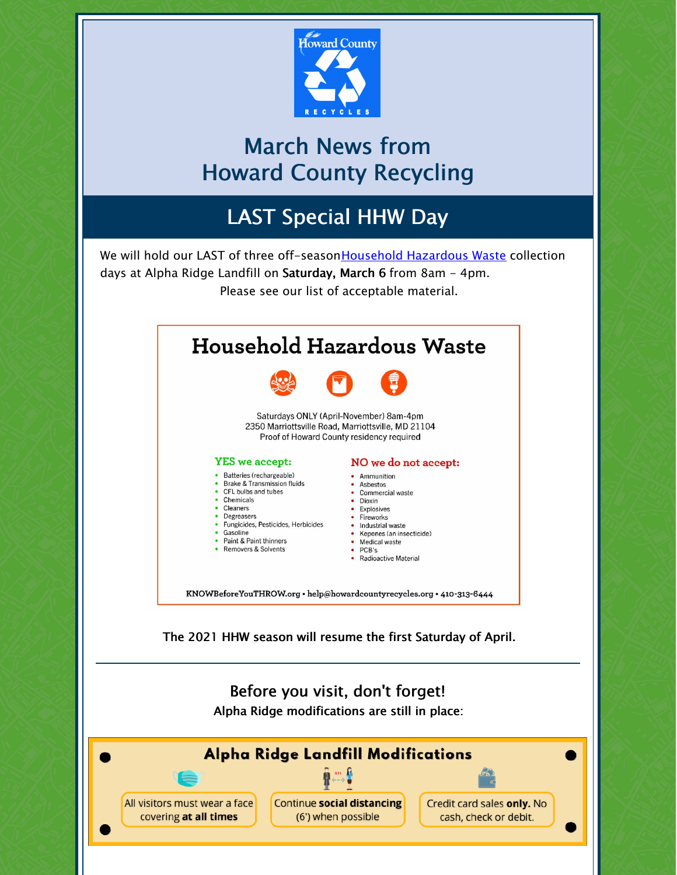

# March News from Howard County Recycling

# LAST Special HHW Day

We will hold our LAST of three off-season Household Hazardous Waste collection days at Alpha Ridge Landfill on Saturday, March 6 from 8am - 4pm. Please see our list of acceptable material.



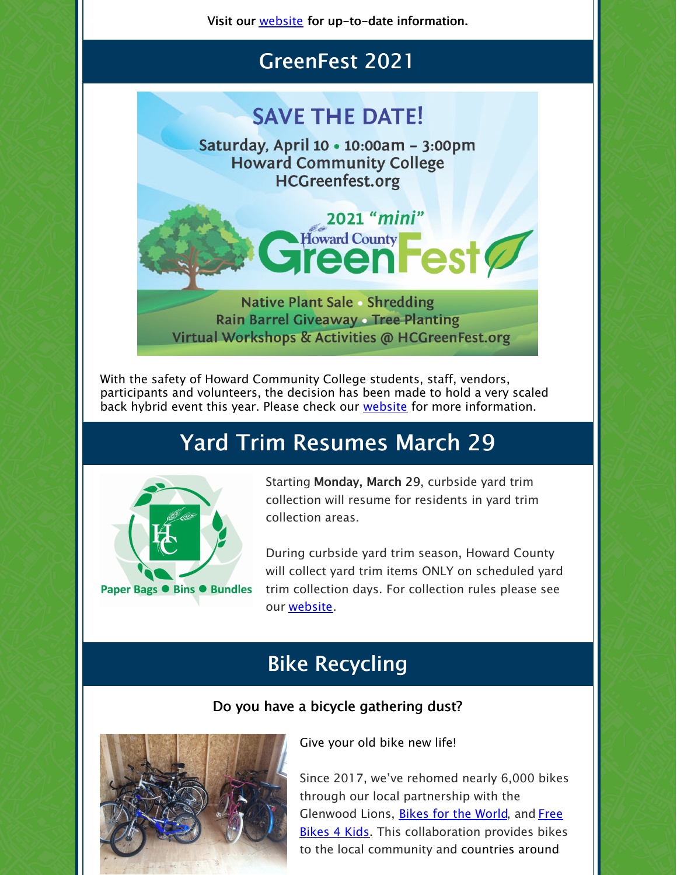Visit our **[website](https://www.howardcountymd.gov/Departments/Public-Works/Bureau-Of-Environmental-Services/Alpha-Ridge-Landfill)** for up-to-date information.

### GreenFest 2021

# **SAVE THE DATE!**

Saturday, April 10 . 10:00am - 3:00pm **Howard Community College HCGreenfest.org** 

2021 "mini"

ward County<br> **een** est

Howard County

**Native Plant Sale • Shredding Rain Barrel Giveaway Tree Planting** Virtual Workshops & Activities @ HCGreenFest.org

With the safety of Howard Community College students, staff, vendors, participants and volunteers, the decision has been made to hold a very scaled back hybrid event this year. Please check our [website](https://www.howardcountymd.gov/Departments/County-Administration/Community-Sustainability/GreenFest) for more information.

# Yard Trim Resumes March 29



Starting Monday, March 29, curbside yard trim collection will resume for residents in yard trim collection areas.

During curbside yard trim season, Howard County will collect yard trim items ONLY on scheduled yard trim collection days. For collection rules please see our [website](https://www.howardcountymd.gov/Departments/Public-Works/Bureau-Of-Environmental-Services/Curbside-Collections#Yard-Trim-66).

## Bike Recycling

#### Do you have a bicycle gathering dust?



Give your old bike new life!

Since 2017, we've rehomed nearly 6,000 bikes through our local partnership with the Glenwood Lions, Bikes for the [World](https://www.bikesfortheworld.org/), and Free Bikes 4 Kids. This [collaboration](https://fb4kmaryland.org/) provides bikes to the local community and countries around